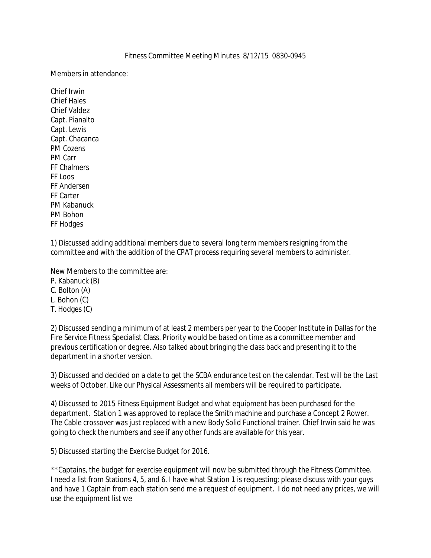## Fitness Committee Meeting Minutes 8/12/15 0830-0945

Members in attendance:

Chief Irwin Chief Hales Chief Valdez Capt. Pianalto Capt. Lewis Capt. Chacanca PM Cozens PM Carr FF Chalmers FF Loos FF Andersen FF Carter PM Kabanuck PM Bohon FF Hodges

1) Discussed adding additional members due to several long term members resigning from the committee and with the addition of the CPAT process requiring several members to administer.

New Members to the committee are:

P. Kabanuck (B)

C. Bolton (A)

L. Bohon (C)

T. Hodges (C)

2) Discussed sending a minimum of at least 2 members per year to the Cooper Institute in Dallas for the Fire Service Fitness Specialist Class. Priority would be based on time as a committee member and previous certification or degree. Also talked about bringing the class back and presenting it to the department in a shorter version.

3) Discussed and decided on a date to get the SCBA endurance test on the calendar. Test will be the Last weeks of October. Like our Physical Assessments all members will be required to participate.

4) Discussed to 2015 Fitness Equipment Budget and what equipment has been purchased for the department. Station 1 was approved to replace the Smith machine and purchase a Concept 2 Rower. The Cable crossover was just replaced with a new Body Solid Functional trainer. Chief Irwin said he was going to check the numbers and see if any other funds are available for this year.

5) Discussed starting the Exercise Budget for 2016.

\*\*Captains, the budget for exercise equipment will now be submitted through the Fitness Committee. I need a list from Stations 4, 5, and 6. I have what Station 1 is requesting; please discuss with your guys and have 1 Captain from each station send me a request of equipment. I do not need any prices, we will use the equipment list we